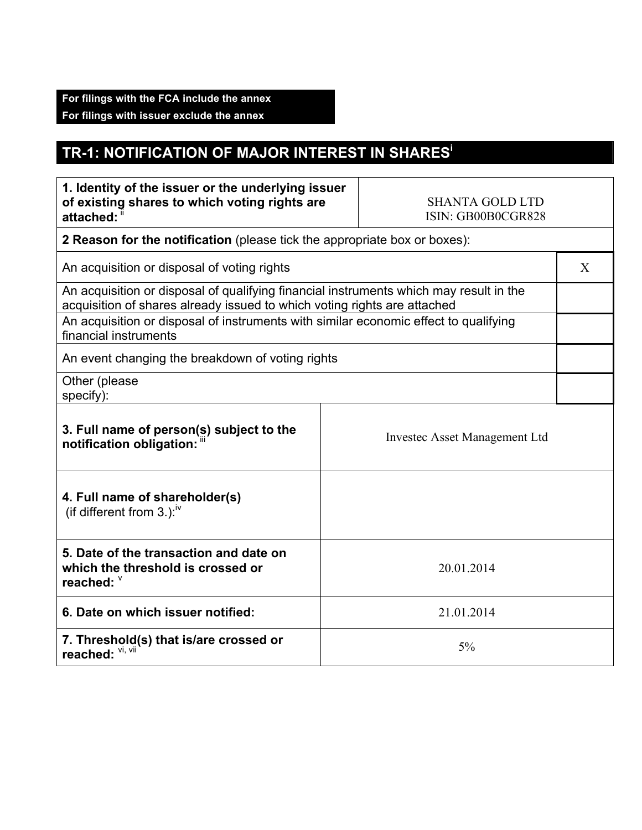## **TR-1: NOTIFICATION OF MAJOR INTEREST IN SHARES<sup>i</sup>**

| 1. Identity of the issuer or the underlying issuer<br>of existing shares to which voting rights are<br>attached:                                                                                                                                                                    | <b>SHANTA GOLD LTD</b><br>ISIN: GB00B0CGR828 |  |  |
|-------------------------------------------------------------------------------------------------------------------------------------------------------------------------------------------------------------------------------------------------------------------------------------|----------------------------------------------|--|--|
| 2 Reason for the notification (please tick the appropriate box or boxes):                                                                                                                                                                                                           |                                              |  |  |
| An acquisition or disposal of voting rights                                                                                                                                                                                                                                         |                                              |  |  |
| An acquisition or disposal of qualifying financial instruments which may result in the<br>acquisition of shares already issued to which voting rights are attached<br>An acquisition or disposal of instruments with similar economic effect to qualifying<br>financial instruments |                                              |  |  |
| An event changing the breakdown of voting rights                                                                                                                                                                                                                                    |                                              |  |  |
| Other (please<br>specify):                                                                                                                                                                                                                                                          |                                              |  |  |
| 3. Full name of person(s) subject to the<br>notification obligation: "                                                                                                                                                                                                              | <b>Investec Asset Management Ltd</b>         |  |  |
| 4. Full name of shareholder(s)<br>(if different from 3.): $\frac{iv}{ }$                                                                                                                                                                                                            |                                              |  |  |
| 5. Date of the transaction and date on<br>which the threshold is crossed or<br>reached: V                                                                                                                                                                                           | 20.01.2014                                   |  |  |
| 6. Date on which issuer notified:                                                                                                                                                                                                                                                   | 21.01.2014                                   |  |  |
| 7. Threshold(s) that is/are crossed or<br>reached: VI, VII                                                                                                                                                                                                                          | 5%                                           |  |  |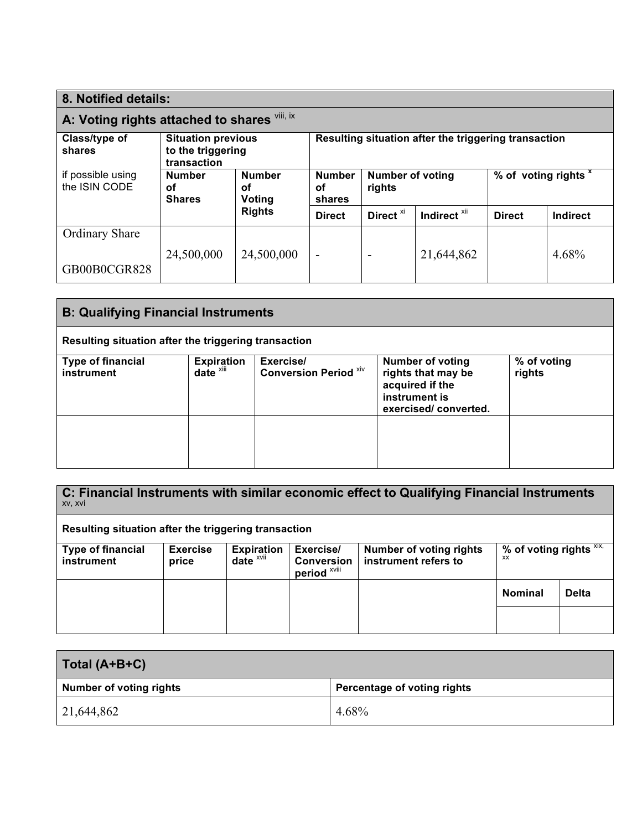| 8. Notified details:                                                                     |                                      |                                                      |                               |                                   |                         |               |                      |  |
|------------------------------------------------------------------------------------------|--------------------------------------|------------------------------------------------------|-------------------------------|-----------------------------------|-------------------------|---------------|----------------------|--|
| A: Voting rights attached to shares Vill, ix                                             |                                      |                                                      |                               |                                   |                         |               |                      |  |
| Class/type of<br><b>Situation previous</b><br>to the triggering<br>shares<br>transaction |                                      | Resulting situation after the triggering transaction |                               |                                   |                         |               |                      |  |
| if possible using<br>the ISIN CODE                                                       | <b>Number</b><br>οf<br><b>Shares</b> | <b>Number</b><br>οf<br>Voting                        | <b>Number</b><br>οf<br>shares | <b>Number of voting</b><br>rights |                         |               | % of voting rights x |  |
|                                                                                          |                                      | <b>Rights</b>                                        | <b>Direct</b>                 | Direct <sup>xi</sup>              | Indirect <sup>xii</sup> | <b>Direct</b> | Indirect             |  |
| Ordinary Share                                                                           |                                      |                                                      |                               |                                   |                         |               |                      |  |
| GB00B0CGR828                                                                             | 24,500,000                           | 24,500,000                                           | $\overline{\phantom{a}}$      | -                                 | 21,644,862              |               | 4.68%                |  |

| <b>B: Qualifying Financial Instruments</b>           |                                               |                                           |                                                                                                           |                       |
|------------------------------------------------------|-----------------------------------------------|-------------------------------------------|-----------------------------------------------------------------------------------------------------------|-----------------------|
| Resulting situation after the triggering transaction |                                               |                                           |                                                                                                           |                       |
| <b>Type of financial</b><br>instrument               | <b>Expiration</b><br>$date^{\overline{x}iii}$ | Exercise/<br><b>Conversion Period XIV</b> | <b>Number of voting</b><br>rights that may be<br>acquired if the<br>instrument is<br>exercised/converted. | % of voting<br>rights |
|                                                      |                                               |                                           |                                                                                                           |                       |

**C: Financial Instruments with similar economic effect to Qualifying Financial Instruments** xv, xvi

**Resulting situation after the triggering transaction**

| <b>Type of financial</b><br>instrument | <b>Exercise</b><br>price | <b>Expiration</b><br>date <sup>xvii</sup> | Exercise/<br><b>Conversion</b><br>period <sup>xviii</sup> | <b>Number of voting rights</b><br>instrument refers to | % of voting rights $\overline{X_1X_2}$<br>XX |              |
|----------------------------------------|--------------------------|-------------------------------------------|-----------------------------------------------------------|--------------------------------------------------------|----------------------------------------------|--------------|
|                                        |                          |                                           |                                                           |                                                        | <b>Nominal</b>                               | <b>Delta</b> |
|                                        |                          |                                           |                                                           |                                                        |                                              |              |

| Total (A+B+C)                  |                             |
|--------------------------------|-----------------------------|
| <b>Number of voting rights</b> | Percentage of voting rights |
| 21,644,862                     | 4.68%                       |